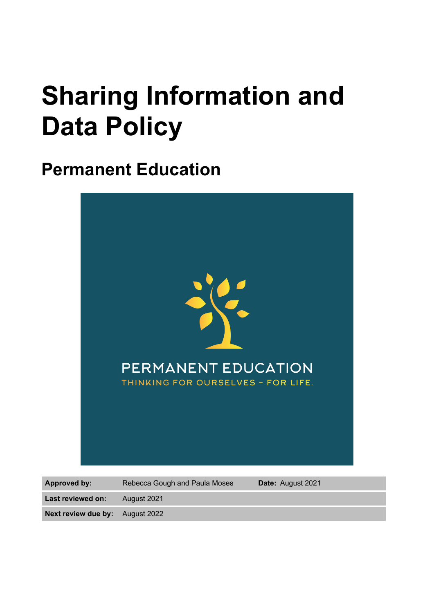# **Sharing Information and Data Policy**

# **Permanent Education**



**Last reviewed on:** August 2021

**Next review due by:** August 2022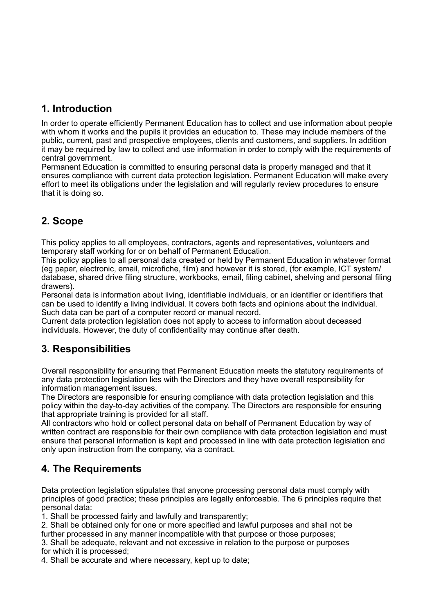#### **1. Introduction**

In order to operate efficiently Permanent Education has to collect and use information about people with whom it works and the pupils it provides an education to. These may include members of the public, current, past and prospective employees, clients and customers, and suppliers. In addition it may be required by law to collect and use information in order to comply with the requirements of central government.

Permanent Education is committed to ensuring personal data is properly managed and that it ensures compliance with current data protection legislation. Permanent Education will make every effort to meet its obligations under the legislation and will regularly review procedures to ensure that it is doing so.

# **2. Scope**

This policy applies to all employees, contractors, agents and representatives, volunteers and temporary staff working for or on behalf of Permanent Education.

This policy applies to all personal data created or held by Permanent Education in whatever format (eg paper, electronic, email, microfiche, film) and however it is stored, (for example, ICT system/ database, shared drive filing structure, workbooks, email, filing cabinet, shelving and personal filing drawers).

Personal data is information about living, identifiable individuals, or an identifier or identifiers that can be used to identify a living individual. It covers both facts and opinions about the individual. Such data can be part of a computer record or manual record.

Current data protection legislation does not apply to access to information about deceased individuals. However, the duty of confidentiality may continue after death.

#### **3. Responsibilities**

Overall responsibility for ensuring that Permanent Education meets the statutory requirements of any data protection legislation lies with the Directors and they have overall responsibility for information management issues.

The Directors are responsible for ensuring compliance with data protection legislation and this policy within the day-to-day activities of the company. The Directors are responsible for ensuring that appropriate training is provided for all staff.

All contractors who hold or collect personal data on behalf of Permanent Education by way of written contract are responsible for their own compliance with data protection legislation and must ensure that personal information is kept and processed in line with data protection legislation and only upon instruction from the company, via a contract.

# **4. The Requirements**

Data protection legislation stipulates that anyone processing personal data must comply with principles of good practice; these principles are legally enforceable. The 6 principles require that personal data:

1. Shall be processed fairly and lawfully and transparently;

2. Shall be obtained only for one or more specified and lawful purposes and shall not be further processed in any manner incompatible with that purpose or those purposes;

3. Shall be adequate, relevant and not excessive in relation to the purpose or purposes for which it is processed;

4. Shall be accurate and where necessary, kept up to date;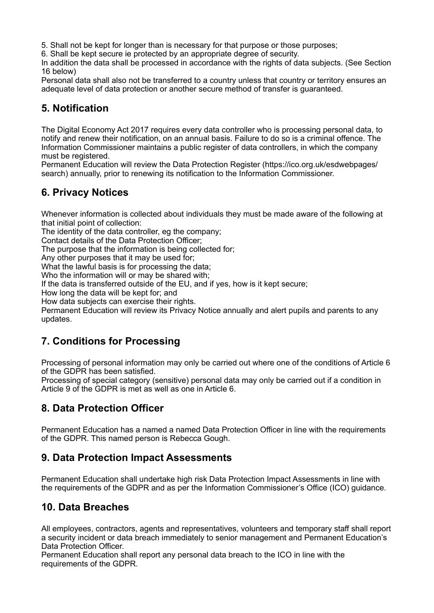5. Shall not be kept for longer than is necessary for that purpose or those purposes;

6. Shall be kept secure ie protected by an appropriate degree of security.

In addition the data shall be processed in accordance with the rights of data subjects. (See Section 16 below)

Personal data shall also not be transferred to a country unless that country or territory ensures an adequate level of data protection or another secure method of transfer is guaranteed.

#### **5. Notification**

The Digital Economy Act 2017 requires every data controller who is processing personal data, to notify and renew their notification, on an annual basis. Failure to do so is a criminal offence. The Information Commissioner maintains a public register of data controllers, in which the company must be registered.

Permanent Education will review the Data Protection Register (https://ico.org.uk/esdwebpages/ search) annually, prior to renewing its notification to the Information Commissioner.

#### **6. Privacy Notices**

Whenever information is collected about individuals they must be made aware of the following at that initial point of collection:

The identity of the data controller, eg the company;

Contact details of the Data Protection Officer;

The purpose that the information is being collected for;

Any other purposes that it may be used for;

What the lawful basis is for processing the data;

Who the information will or may be shared with;

If the data is transferred outside of the EU, and if yes, how is it kept secure;

How long the data will be kept for; and

How data subjects can exercise their rights.

Permanent Education will review its Privacy Notice annually and alert pupils and parents to any updates.

# **7. Conditions for Processing**

Processing of personal information may only be carried out where one of the conditions of Article 6 of the GDPR has been satisfied.

Processing of special category (sensitive) personal data may only be carried out if a condition in Article 9 of the GDPR is met as well as one in Article 6.

# **8. Data Protection Officer**

Permanent Education has a named a named Data Protection Officer in line with the requirements of the GDPR. This named person is Rebecca Gough.

#### **9. Data Protection Impact Assessments**

Permanent Education shall undertake high risk Data Protection Impact Assessments in line with the requirements of the GDPR and as per the Information Commissioner's Office (ICO) guidance.

#### **10. Data Breaches**

All employees, contractors, agents and representatives, volunteers and temporary staff shall report a security incident or data breach immediately to senior management and Permanent Education's Data Protection Officer.

Permanent Education shall report any personal data breach to the ICO in line with the requirements of the GDPR.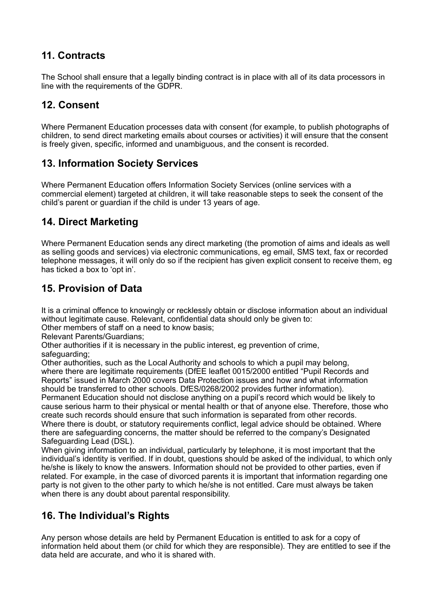# **11. Contracts**

The School shall ensure that a legally binding contract is in place with all of its data processors in line with the requirements of the GDPR.

#### **12. Consent**

Where Permanent Education processes data with consent (for example, to publish photographs of children, to send direct marketing emails about courses or activities) it will ensure that the consent is freely given, specific, informed and unambiguous, and the consent is recorded.

#### **13. Information Society Services**

Where Permanent Education offers Information Society Services (online services with a commercial element) targeted at children, it will take reasonable steps to seek the consent of the child's parent or guardian if the child is under 13 years of age.

#### **14. Direct Marketing**

Where Permanent Education sends any direct marketing (the promotion of aims and ideals as well as selling goods and services) via electronic communications, eg email, SMS text, fax or recorded telephone messages, it will only do so if the recipient has given explicit consent to receive them, eg has ticked a box to 'opt in'.

#### **15. Provision of Data**

It is a criminal offence to knowingly or recklessly obtain or disclose information about an individual without legitimate cause. Relevant, confidential data should only be given to:

Other members of staff on a need to know basis;

Relevant Parents/Guardians;

Other authorities if it is necessary in the public interest, eg prevention of crime, safeguarding;

Other authorities, such as the Local Authority and schools to which a pupil may belong, where there are legitimate requirements (DfEE leaflet 0015/2000 entitled "Pupil Records and Reports" issued in March 2000 covers Data Protection issues and how and what information should be transferred to other schools. DfES/0268/2002 provides further information). Permanent Education should not disclose anything on a pupil's record which would be likely to cause serious harm to their physical or mental health or that of anyone else. Therefore, those who create such records should ensure that such information is separated from other records. Where there is doubt, or statutory requirements conflict, legal advice should be obtained. Where there are safeguarding concerns, the matter should be referred to the company's Designated

Safeguarding Lead (DSL).

When giving information to an individual, particularly by telephone, it is most important that the individual's identity is verified. If in doubt, questions should be asked of the individual, to which only he/she is likely to know the answers. Information should not be provided to other parties, even if related. For example, in the case of divorced parents it is important that information regarding one party is not given to the other party to which he/she is not entitled. Care must always be taken when there is any doubt about parental responsibility.

#### **16. The Individual's Rights**

Any person whose details are held by Permanent Education is entitled to ask for a copy of information held about them (or child for which they are responsible). They are entitled to see if the data held are accurate, and who it is shared with.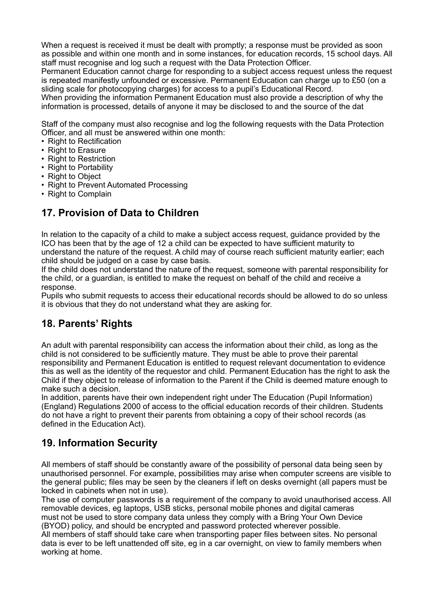When a request is received it must be dealt with promptly; a response must be provided as soon as possible and within one month and in some instances, for education records, 15 school days. All staff must recognise and log such a request with the Data Protection Officer.

Permanent Education cannot charge for responding to a subject access request unless the request is repeated manifestly unfounded or excessive. Permanent Education can charge up to £50 (on a sliding scale for photocopying charges) for access to a pupil's Educational Record.

When providing the information Permanent Education must also provide a description of why the information is processed, details of anyone it may be disclosed to and the source of the dat

Staff of the company must also recognise and log the following requests with the Data Protection Officer, and all must be answered within one month:

- Right to Rectification
- Right to Erasure
- Right to Restriction
- Right to Portability
- Right to Object
- Right to Prevent Automated Processing
- Right to Complain

#### **17. Provision of Data to Children**

In relation to the capacity of a child to make a subject access request, guidance provided by the ICO has been that by the age of 12 a child can be expected to have sufficient maturity to understand the nature of the request. A child may of course reach sufficient maturity earlier; each child should be judged on a case by case basis.

If the child does not understand the nature of the request, someone with parental responsibility for the child, or a guardian, is entitled to make the request on behalf of the child and receive a response.

Pupils who submit requests to access their educational records should be allowed to do so unless it is obvious that they do not understand what they are asking for.

#### **18. Parents' Rights**

An adult with parental responsibility can access the information about their child, as long as the child is not considered to be sufficiently mature. They must be able to prove their parental responsibility and Permanent Education is entitled to request relevant documentation to evidence this as well as the identity of the requestor and child. Permanent Education has the right to ask the Child if they object to release of information to the Parent if the Child is deemed mature enough to make such a decision.

In addition, parents have their own independent right under The Education (Pupil Information) (England) Regulations 2000 of access to the official education records of their children. Students do not have a right to prevent their parents from obtaining a copy of their school records (as defined in the Education Act).

#### **19. Information Security**

All members of staff should be constantly aware of the possibility of personal data being seen by unauthorised personnel. For example, possibilities may arise when computer screens are visible to the general public; files may be seen by the cleaners if left on desks overnight (all papers must be locked in cabinets when not in use).

The use of computer passwords is a requirement of the company to avoid unauthorised access. All removable devices, eg laptops, USB sticks, personal mobile phones and digital cameras must not be used to store company data unless they comply with a Bring Your Own Device (BYOD) policy, and should be encrypted and password protected wherever possible.

All members of staff should take care when transporting paper files between sites. No personal data is ever to be left unattended off site, eg in a car overnight, on view to family members when working at home.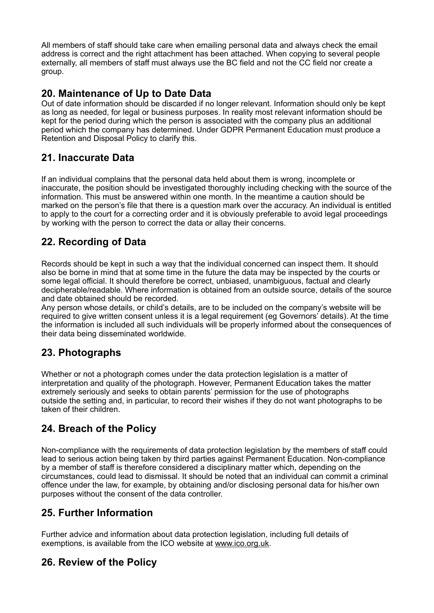All members of staff should take care when emailing personal data and always check the email address is correct and the right attachment has been attached. When copying to several people externally, all members of staff must always use the BC field and not the CC field nor create a group.

#### **20. Maintenance of Up to Date Data**

Out of date information should be discarded if no longer relevant. Information should only be kept as long as needed, for legal or business purposes. In reality most relevant information should be kept for the period during which the person is associated with the company plus an additional period which the company has determined. Under GDPR Permanent Education must produce a Retention and Disposal Policy to clarify this.

#### **21. Inaccurate Data**

If an individual complains that the personal data held about them is wrong, incomplete or inaccurate, the position should be investigated thoroughly including checking with the source of the information. This must be answered within one month. In the meantime a caution should be marked on the person's file that there is a question mark over the accuracy. An individual is entitled to apply to the court for a correcting order and it is obviously preferable to avoid legal proceedings by working with the person to correct the data or allay their concerns.

# **22. Recording of Data**

Records should be kept in such a way that the individual concerned can inspect them. It should also be borne in mind that at some time in the future the data may be inspected by the courts or some legal official. It should therefore be correct, unbiased, unambiguous, factual and clearly decipherable/readable. Where information is obtained from an outside source, details of the source and date obtained should be recorded.

Any person whose details, or child's details, are to be included on the company's website will be required to give written consent unless it is a legal requirement (eg Governors' details). At the time the information is included all such individuals will be properly informed about the consequences of their data being disseminated worldwide.

# **23. Photographs**

Whether or not a photograph comes under the data protection legislation is a matter of interpretation and quality of the photograph. However, Permanent Education takes the matter extremely seriously and seeks to obtain parents' permission for the use of photographs outside the setting and, in particular, to record their wishes if they do not want photographs to be taken of their children.

# **24. Breach of the Policy**

Non-compliance with the requirements of data protection legislation by the members of staff could lead to serious action being taken by third parties against Permanent Education. Non-compliance by a member of staff is therefore considered a disciplinary matter which, depending on the circumstances, could lead to dismissal. It should be noted that an individual can commit a criminal offence under the law, for example, by obtaining and/or disclosing personal data for his/her own purposes without the consent of the data controller.

#### **25. Further Information**

Further advice and information about data protection legislation, including full details of exemptions, is available from the ICO website at [www.ico.org.uk](http://www.ico.org.uk).

#### **26. Review of the Policy**